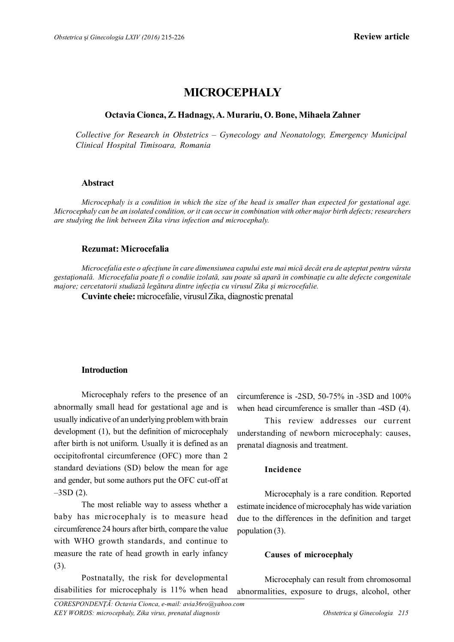# **MICROCEPHALY**

## **Octavia Cionca, Z. Hadnagy, A. Murariu, O. Bone, Mihaela Zahner**

*Collective for Research in Obstetrics – Gynecology and Neonatology, Emergency Municipal Clinical Hospital Timisoara, Romania*

## **Abstract**

*Microcephaly is a condition in which the size of the head is smaller than expected for gestational age. Microcephaly can be an isolated condition, or it can occur in combination with other major birth defects; researchers are studying the link between Zika virus infection and microcephaly.*

## **Rezumat: Microcefalia**

*Microcefalia este o afecţiune în care dimensiunea capului este mai mică decât era de aşteptat pentru vârsta gestaţională. Microcefalia poate fi o condiie izolată, sau poate să apară in combinaţie cu alte defecte congenitale majore; cercetatorii studiază legătura dintre infecţia cu virusul Zika şi microcefalie.*

**Cuvinte cheie:** microcefalie, virusul Zika, diagnostic prenatal

## **Introduction**

Microcephaly refers to the presence of an abnormally small head for gestational age and is usually indicative of an underlying problem with brain development (1), but the definition of microcephaly after birth is not uniform. Usually it is defined as an occipitofrontal circumference (OFC) more than 2 standard deviations (SD) below the mean for age and gender, but some authors put the OFC cut-off at  $-3SD(2)$ .

The most reliable way to assess whether a baby has microcephaly is to measure head circumference 24 hours after birth, compare the value with WHO growth standards, and continue to measure the rate of head growth in early infancy (3).

Postnatally, the risk for developmental disabilities for microcephaly is 11% when head circumference is -2SD, 50-75% in -3SD and 100% when head circumference is smaller than -4SD (4).

This review addresses our current understanding of newborn microcephaly: causes, prenatal diagnosis and treatment.

## **Incidence**

Microcephaly is a rare condition. Reported estimate incidence of microcephaly has wide variation due to the differences in the definition and target population (3).

#### **Causes of microcephaly**

Microcephaly can result from chromosomal abnormalities, exposure to drugs, alcohol, other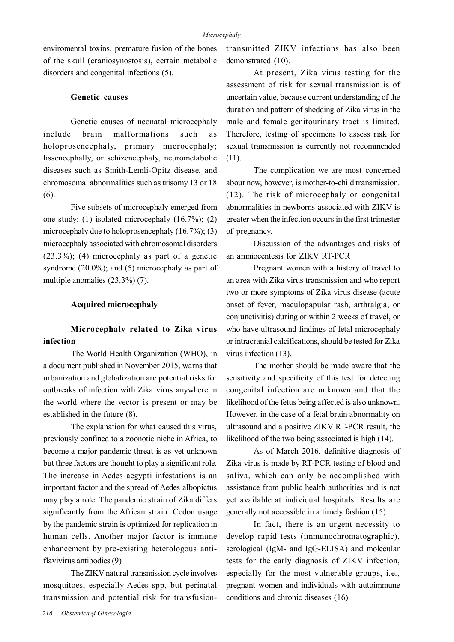enviromental toxins, premature fusion of the bones of the skull (craniosynostosis), certain metabolic disorders and congenital infections (5).

## **Genetic causes**

Genetic causes of neonatal microcephaly include brain malformations such as holoprosencephaly, primary microcephaly; lissencephally, or schizencephaly, neurometabolic diseases such as Smith-Lemli-Opitz disease, and chromosomal abnormalities such as trisomy 13 or 18 (6).

Five subsets of microcephaly emerged from one study: (1) isolated microcephaly (16.7%); (2) microcephaly due to holoprosencephaly (16.7%); (3) microcephaly associated with chromosomal disorders (23.3%); (4) microcephaly as part of a genetic syndrome (20.0%); and (5) microcephaly as part of multiple anomalies (23.3%) (7).

#### **Acquired microcephaly**

## **Microcephaly related to Zika virus infection**

The World Health Organization (WHO), in a document published in November 2015, warns that urbanization and globalization are potential risks for outbreaks of infection with Zika virus anywhere in the world where the vector is present or may be established in the future (8).

The explanation for what caused this virus, previously confined to a zoonotic niche in Africa, to become a major pandemic threat is as yet unknown but three factors are thought to play a significant role. The increase in Aedes aegypti infestations is an important factor and the spread of Aedes albopictus may play a role. The pandemic strain of Zika differs significantly from the African strain. Codon usage by the pandemic strain is optimized for replication in human cells. Another major factor is immune enhancement by pre-existing heterologous antiflavivirus antibodies (9)

The ZIKV natural transmission cycle involves mosquitoes, especially Aedes spp, but perinatal transmission and potential risk for transfusiontransmitted ZIKV infections has also been demonstrated (10).

At present, Zika virus testing for the assessment of risk for sexual transmission is of uncertain value, because current understanding of the duration and pattern of shedding of Zika virus in the male and female genitourinary tract is limited. Therefore, testing of specimens to assess risk for sexual transmission is currently not recommended (11).

The complication we are most concerned about now, however, is mother-to-child transmission. (12). The risk of microcephaly or congenital abnormalities in newborns associated with ZIKV is greater when the infection occurs in the first trimester of pregnancy.

Discussion of the advantages and risks of an amniocentesis for ZIKV RT-PCR

Pregnant women with a history of travel to an area with Zika virus transmission and who report two or more symptoms of Zika virus disease (acute onset of fever, maculopapular rash, arthralgia, or conjunctivitis) during or within 2 weeks of travel, or who have ultrasound findings of fetal microcephaly or intracranial calcifications, should be tested for Zika virus infection (13).

The mother should be made aware that the sensitivity and specificity of this test for detecting congenital infection are unknown and that the likelihood of the fetus being affected is also unknown. However, in the case of a fetal brain abnormality on ultrasound and a positive ZIKV RT-PCR result, the likelihood of the two being associated is high (14).

As of March 2016, definitive diagnosis of Zika virus is made by RT-PCR testing of blood and saliva, which can only be accomplished with assistance from public health authorities and is not yet available at individual hospitals. Results are generally not accessible in a timely fashion (15).

In fact, there is an urgent necessity to develop rapid tests (immunochromatographic), serological (IgM- and IgG-ELISA) and molecular tests for the early diagnosis of ZIKV infection, especially for the most vulnerable groups, i.e., pregnant women and individuals with autoimmune conditions and chronic diseases (16).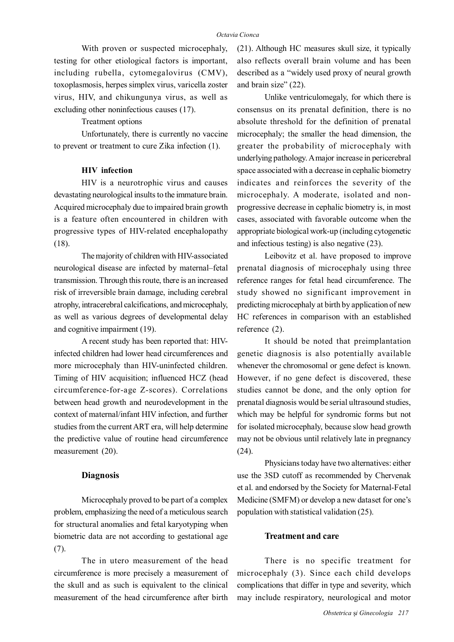With proven or suspected microcephaly, testing for other etiological factors is important, including rubella, cytomegalovirus (CMV), toxoplasmosis, herpes simplex virus, varicella zoster virus, HIV, and chikungunya virus, as well as excluding other noninfectious causes (17).

Treatment options

Unfortunately, there is currently no vaccine to prevent or treatment to cure Zika infection (1).

#### **HIV infection**

HIV is a neurotrophic virus and causes devastating neurological insults to the immature brain. Acquired microcephaly due to impaired brain growth is a feature often encountered in children with progressive types of HIV-related encephalopathy (18).

The majority of children with HIV-associated neurological disease are infected by maternal–fetal transmission. Through this route, there is an increased risk of irreversible brain damage, including cerebral atrophy, intracerebral calcifications, and microcephaly, as well as various degrees of developmental delay and cognitive impairment (19).

A recent study has been reported that: HIVinfected children had lower head circumferences and more microcephaly than HIV-uninfected children. Timing of HIV acquisition; influenced HCZ (head circumference-for-age Z-scores). Correlations between head growth and neurodevelopment in the context of maternal/infant HIV infection, and further studies from the current ART era, will help determine the predictive value of routine head circumference measurement (20).

#### **Diagnosis**

Microcephaly proved to be part of a complex problem, emphasizing the need of a meticulous search for structural anomalies and fetal karyotyping when biometric data are not according to gestational age (7).

The in utero measurement of the head circumference is more precisely a measurement of the skull and as such is equivalent to the clinical measurement of the head circumference after birth

(21). Although HC measures skull size, it typically also reflects overall brain volume and has been described as a "widely used proxy of neural growth and brain size" (22).

Unlike ventriculomegaly, for which there is consensus on its prenatal definition, there is no absolute threshold for the definition of prenatal microcephaly; the smaller the head dimension, the greater the probability of microcephaly with underlying pathology. A major increase in pericerebral space associated with a decrease in cephalic biometry indicates and reinforces the severity of the microcephaly. A moderate, isolated and nonprogressive decrease in cephalic biometry is, in most cases, associated with favorable outcome when the appropriate biological work-up (including cytogenetic and infectious testing) is also negative (23).

Leibovitz et al. have proposed to improve prenatal diagnosis of microcephaly using three reference ranges for fetal head circumference. The study showed no significant improvement in predicting microcephaly at birth by application of new HC references in comparison with an established reference (2).

It should be noted that preimplantation genetic diagnosis is also potentially available whenever the chromosomal or gene defect is known. However, if no gene defect is discovered, these studies cannot be done, and the only option for prenatal diagnosis would be serial ultrasound studies, which may be helpful for syndromic forms but not for isolated microcephaly, because slow head growth may not be obvious until relatively late in pregnancy (24).

Physicians today have two alternatives: either use the 3SD cutoff as recommended by Chervenak et al. and endorsed by the Society for Maternal-Fetal Medicine (SMFM) or develop a new dataset for one's population with statistical validation (25).

#### **Treatment and care**

There is no specific treatment for microcephaly (3). Since each child develops complications that differ in type and severity, which may include respiratory, neurological and motor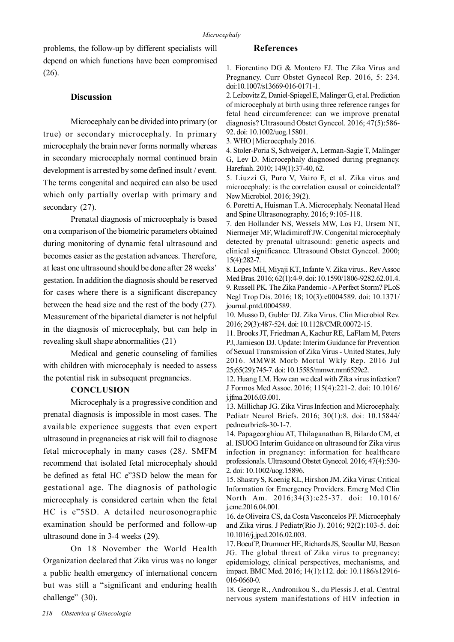problems, the follow-up by different specialists will depend on which functions have been compromised (26).

## **Discussion**

Microcephaly can be divided into primary (or true) or secondary microcephaly. In primary microcephaly the brain never forms normally whereas in secondary microcephaly normal continued brain development is arrested by some defined insult / event. The terms congenital and acquired can also be used which only partially overlap with primary and secondary  $(27)$ .

Prenatal diagnosis of microcephaly is based on a comparison of the biometric parameters obtained during monitoring of dynamic fetal ultrasound and becomes easier as the gestation advances. Therefore, at least one ultrasound should be done after 28 weeks' gestation. In addition the diagnosis should be reserved for cases where there is a significant discrepancy between the head size and the rest of the body (27). Measurement of the biparietal diameter is not helpful in the diagnosis of microcephaly, but can help in revealing skull shape abnormalities (21)

Medical and genetic counseling of families with children with microcephaly is needed to assess the potential risk in subsequent pregnancies.

## **CONCLUSION**

Microcephaly is a progressive condition and prenatal diagnosis is impossible in most cases. The available experience suggests that even expert ultrasound in pregnancies at risk will fail to diagnose fetal microcephaly in many cases (28*).* SMFM recommend that isolated fetal microcephaly should be defined as fetal HC e"3SD below the mean for gestational age. The diagnosis of pathologic microcephaly is considered certain when the fetal HC is e"5SD. A detailed neurosonographic examination should be performed and follow-up ultrasound done in 3-4 weeks (29).

On 18 November the World Health Organization declared that Zika virus was no longer a public health emergency of international concern but was still a "significant and enduring health challenge" (30).

#### **References**

1. Fiorentino DG & Montero FJ. The Zika Virus and Pregnancy. Curr Obstet Gynecol Rep. 2016, 5: 234. doi:10.1007/s13669-016-0171-1.

2. Leibovitz Z, Daniel-Spiegel E, Malinger G, et al. Prediction of microcephaly at birth using three reference ranges for fetal head circumference: can we improve prenatal diagnosis? Ultrasound Obstet Gynecol. 2016; 47(5):586- 92. doi: 10.1002/uog.15801.

3. WHO | Microcephaly 2016.

4. Stoler-Poria S, Schweiger A, Lerman-Sagie T, Malinger G, Lev D. Microcephaly diagnosed during pregnancy. Harefuah. 2010; 149(1):37-40, 62.

5. Liuzzi G, Puro V, Vairo F, et al. Zika virus and microcephaly: is the correlation causal or coincidental? New Microbiol. 2016; 39(2).

6. Poretti A, Huisman T.A. Microcephaly. Neonatal Head and Spine Ultrasonography. 2016; 9:105-118.

7. den Hollander NS, Wessels MW, Los FJ, Ursem NT, Niermeijer MF, Wladimiroff JW. Congenital microcephaly detected by prenatal ultrasound: genetic aspects and clinical significance. Ultrasound Obstet Gynecol. 2000; 15(4):282-7.

8. Lopes MH, Miyaji KT, Infante V. Zika virus.. Rev Assoc Med Bras. 2016; 62(1):4-9. doi: 10.1590/1806-9282.62.01.4. 9. Russell PK. The Zika Pandemic - A Perfect Storm? PLoS Negl Trop Dis. 2016; 18; 10(3):e0004589. doi: 10.1371/ journal.pntd.0004589.

10. Musso D, Gubler DJ. Zika Virus. Clin Microbiol Rev. 2016; 29(3):487-524. doi: 10.1128/CMR.00072-15.

11. Brooks JT, Friedman A, Kachur RE, LaFlam M, Peters PJ, Jamieson DJ. Update: Interim Guidance for Prevention of Sexual Transmission of Zika Virus - United States, July 2016. MMWR Morb Mortal Wkly Rep. 2016 Jul 25;65(29):745-7. doi: 10.15585/mmwr.mm6529e2.

12. Huang LM. How can we deal with Zika virus infection? J Formos Med Assoc. 2016; 115(4):221-2. doi: 10.1016/ j.jfma.2016.03.001.

13. Millichap JG. Zika Virus Infection and Microcephaly. Pediatr Neurol Briefs. 2016; 30(1):8. doi: 10.15844/ pedneurbriefs-30-1-7.

14. Papageorghiou AT, Thilaganathan B, Bilardo CM, et al. ISUOG Interim Guidance on ultrasound for Zika virus infection in pregnancy: information for healthcare professionals. Ultrasound Obstet Gynecol. 2016; 47(4):530- 2. doi: 10.1002/uog.15896.

15. Shastry S, Koenig KL, Hirshon JM. Zika Virus: Critical Information for Emergency Providers. Emerg Med Clin North Am. 2016;34(3):e25-37. doi: 10.1016/ j.emc.2016.04.001.

16. de Oliveira CS, da Costa Vasconcelos PF. Microcephaly and Zika virus. J Pediatr(Rio J). 2016; 92(2):103-5. doi: 10.1016/j.jped.2016.02.003.

17. Boeuf P, Drummer HE, Richards JS, Scoullar MJ, Beeson JG. The global threat of Zika virus to pregnancy: epidemiology, clinical perspectives, mechanisms, and impact. BMC Med. 2016; 14(1):112. doi: 10.1186/s12916- 016-0660-0.

18. George R., Andronikou S., du Plessis J. et al. Central nervous system manifestations of HIV infection in